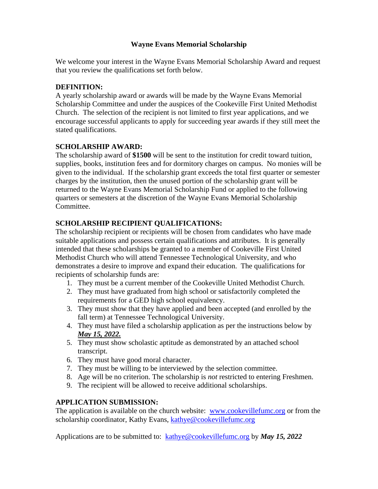# **Wayne Evans Memorial Scholarship**

We welcome your interest in the Wayne Evans Memorial Scholarship Award and request that you review the qualifications set forth below.

### **DEFINITION:**

A yearly scholarship award or awards will be made by the Wayne Evans Memorial Scholarship Committee and under the auspices of the Cookeville First United Methodist Church. The selection of the recipient is not limited to first year applications, and we encourage successful applicants to apply for succeeding year awards if they still meet the stated qualifications.

#### **SCHOLARSHIP AWARD:**

The scholarship award of **\$1500** will be sent to the institution for credit toward tuition, supplies, books, institution fees and for dormitory charges on campus. No monies will be given to the individual. If the scholarship grant exceeds the total first quarter or semester charges by the institution, then the unused portion of the scholarship grant will be returned to the Wayne Evans Memorial Scholarship Fund or applied to the following quarters or semesters at the discretion of the Wayne Evans Memorial Scholarship Committee.

#### **SCHOLARSHIP RECIPIENT QUALIFICATIONS:**

The scholarship recipient or recipients will be chosen from candidates who have made suitable applications and possess certain qualifications and attributes. It is generally intended that these scholarships be granted to a member of Cookeville First United Methodist Church who will attend Tennessee Technological University, and who demonstrates a desire to improve and expand their education. The qualifications for recipients of scholarship funds are:

- 1. They must be a current member of the Cookeville United Methodist Church.
- 2. They must have graduated from high school or satisfactorily completed the requirements for a GED high school equivalency.
- 3. They must show that they have applied and been accepted (and enrolled by the fall term) at Tennessee Technological University.
- 4. They must have filed a scholarship application as per the instructions below by *May 15, 2022.*
- 5. They must show scholastic aptitude as demonstrated by an attached school transcript.
- 6. They must have good moral character.
- 7. They must be willing to be interviewed by the selection committee.
- 8. Age will be no criterion. The scholarship is *not* restricted to entering Freshmen.
- 9. The recipient will be allowed to receive additional scholarships.

# **APPLICATION SUBMISSION:**

The application is available on the church website: [www.cookevillefumc.org](http://www.cookevillefumc.org/) or from the scholarship coordinator, Kathy Evans, [kathye@cookevillefumc.org](mailto:kathye@cookevillefumc.org)

Applications are to be submitted to: [kathye@cookevillefumc.org](mailto:kathye@cookevillefumc.org) by *May 15, 2022*